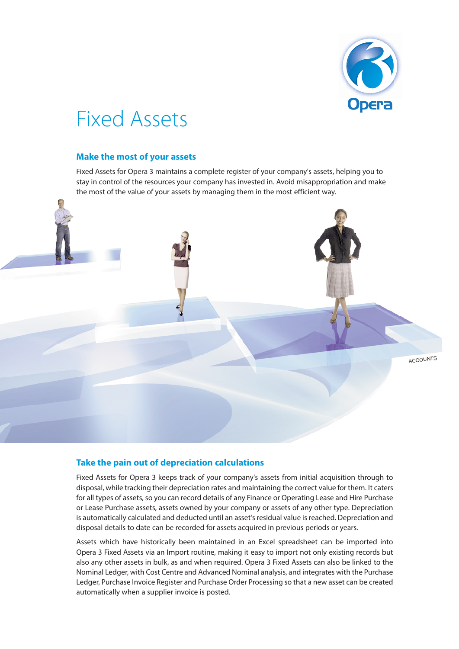

## Fixed Assets

## **Make the most of your assets**

Fixed Assets for Opera 3 maintains a complete register of your company's assets, helping you to stay in control of the resources your company has invested in. Avoid misappropriation and make the most of the value of your assets by managing them in the most efficient way.



## **Take the pain out of depreciation calculations**

Fixed Assets for Opera 3 keeps track of your company's assets from initial acquisition through to disposal, while tracking their depreciation rates and maintaining the correct value for them. It caters for all types of assets, so you can record details of any Finance or Operating Lease and Hire Purchase or Lease Purchase assets, assets owned by your company or assets of any other type. Depreciation is automatically calculated and deducted until an asset's residual value is reached. Depreciation and disposal details to date can be recorded for assets acquired in previous periods or years.

Assets which have historically been maintained in an Excel spreadsheet can be imported into Opera 3 Fixed Assets via an Import routine, making it easy to import not only existing records but also any other assets in bulk, as and when required. Opera 3 Fixed Assets can also be linked to the Nominal Ledger, with Cost Centre and Advanced Nominal analysis, and integrates with the Purchase Ledger, Purchase Invoice Register and Purchase Order Processing so that a new asset can be created automatically when a supplier invoice is posted.